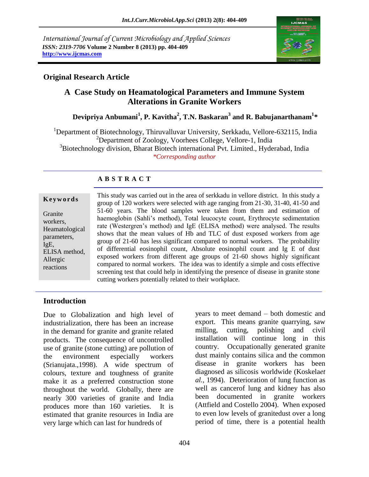*International Journal of Current Microbiology and Applied Sciences ISSN: 2319-7706* **Volume 2 Number 8 (2013) pp. 404-409 http://www.ijcmas.com**



## **Original Research Article**

# **A Case Study on Heamatological Parameters and Immune System Alterations in Granite Workers**

 **Devipriya Anbumani<sup>1</sup> , P. Kavitha<sup>2</sup> , T.N. Baskaran<sup>3</sup> and R. Babujanarthanam<sup>1</sup> \***

<sup>1</sup>Department of Biotechnology, Thiruvalluvar University, Serkkadu, Vellore-632115, India <sup>2</sup>Department of Zoology, Voorhees College, Vellore-1, India <sup>3</sup>Biotechnology division, Bharat Biotech international Pvt. Limited., Hyderabad, India *\*Corresponding author*

## **A B S T R A C T**

#### **K e y w o r d s**

Granite workers, Heamatological parameters, IgE, ELISA method, Allergic reactions

This study was carried out in the area of serkkadu in vellore district. In this study a group of 120 workers were selected with age ranging from 21-30, 31-40, 41-50 and 51-60 years. The blood samples were taken from them and estimation of haemoglobin (Sahli's method), Total leucocyte count, Erythrocyte sedimentation rate (Westergren's method) and IgE (ELISA method) were analysed. The results shows that the mean values of Hb and TLC of dust exposed workers from age group of 21-60 has less significant compared to normal workers. The probability of differential eosinophil count, Absolute eosinophil count and Ig E of dust exposed workers from different age groups of 21-60 shows highly significant compared to normal workers. The idea was to identify a simple and costs effective screening test that could help in identifying the presence of disease in granite stone cutting workers potentially related to their workplace.

## **Introduction**

Due to Globalization and high level of industrialization, there has been an increase in the demand for granite and granite related products. The consequence of uncontrolled use of granite (stone cutting) are pollution of the environment especially workers (Srianujata.,1998). A wide spectrum of colours, texture and toughness of granite make it as a preferred construction stone throughout the world. Globally, there are nearly 300 varieties of granite and India produces more than 160 varieties. It is estimated that granite resources in India are very large which can last for hundreds of

years to meet demand – both domestic and export. This means granite quarrying, saw milling, cutting, polishing and civil installation will continue long in this country. Occupationally generated granite dust mainly contains silica and the common disease in granite workers has been diagnosed as silicosis worldwide (Koskela*et al.,* 1994). Deterioration of lung function as well as cancerof lung and kidney has also been documented in granite workers (Attfield and Costello 2004). When exposed to even low levels of granitedust over a long period of time, there is a potential health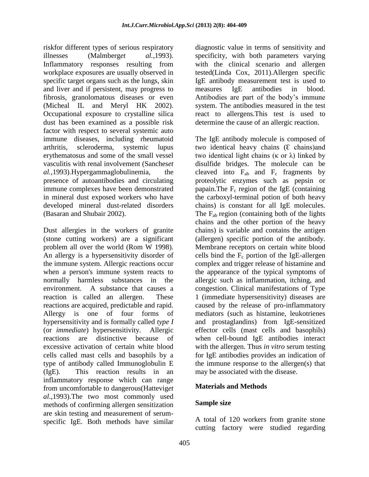riskfor different types of serious respiratory illnesses (Malmberg*et al.,*1993). Inflammatory responses resulting from workplace exposures are usually observed in specific target organs such as the lungs, skin and liver and if persistent, may progress to fibrosis, granolomatous diseases or even (Micheal IL and Meryl HK 2002). Occupational exposure to crystalline silica dust has been examined as a possible risk factor with respect to several systemic auto immune diseases, including rheumatoid arthritis, scleroderma, systemic lupus erythematosus and some of the small vessel vasculitis with renal involvement (Sanches*et al.,*1993).Hypergammaglobulinemia, the presence of autoantibodies and circulating immune complexes have been demonstrated in mineral dust exposed workers who have developed mineral dust-related disorders (Basaran and Shubair 2002).

Dust allergies in the workers of granite (stone cutting workers) are a significant problem all over the world (Rom W 1998). An allergy is a hypersensitivity disorder of the immune system. Allergic reactions occur when a person's immune system reacts to normally harmless substances in the environment. A substance that causes a reaction is called an allergen. These reactions are acquired, predictable and rapid. Allergy is one of four forms of hypersensitivity and is formally called *type I* (or *immediate*) hypersensitivity. Allergic reactions are distinctive because of excessive activation of certain white blood cells called mast cells and basophils by a type of antibody called Immunoglobulin E (IgE). This reaction results in an inflammatory response which can range from uncomfortable to dangerous(Hattevig*et al*.,1993).The two most commonly used methods of confirming allergen sensitization are skin testing and measurement of serumspecific IgE. Both methods have similar

diagnostic value in terms of sensitivity and specificity, with both parameters varying with the clinical scenario and allergen tested(Linda Cox, 2011).Allergen specific IgE antibody measurement test is used to measures IgE antibodies in blood. Antibodies are part of the body's immune system. The antibodies measured in the test react to allergens.This test is used to determine the cause of an allergic reaction.

The IgE antibody molecule is composed of two identical heavy chains  $(E \text{ chains})$  and two identical light chains (κ or λ) linked by disulfide bridges. The molecule can be cleaved into  $F_{ab}$  and  $F_c$  fragments by proteolytic enzymes such as pepsin or papain. The  $F_c$  region of the IgE (containing the carboxyl-terminal potion of both heavy chains) is constant for all IgE molecules. The  $F_{ab}$  region (containing both of the lights chains and the other portion of the heavy chains) is variable and contains the antigen (allergen) specific portion of the antibody. Membrane receptors on certain white blood cells bind the  $F_c$  portion of the IgE-allergen complex and trigger release of histamine and the appearance of the typical symptoms of allergic such as inflammation, itching, and congestion. Clinical manifestations of Type 1 (immediate hypersensitivity) diseases are caused by the release of pro-inflammatory mediators (such as histamine, leukotrienes and prostaglandins) from IgE-sensitized effector cells (mast cells and basophils) when cell-bound IgE antibodies interact with the allergen. Thus *in vitro* serum testing for IgE antibodies provides an indication of the immune response to the allergen(s) that may be associated with the disease.

## **Materials and Methods**

#### **Sample size**

A total of 120 workers from granite stone cutting factory were studied regarding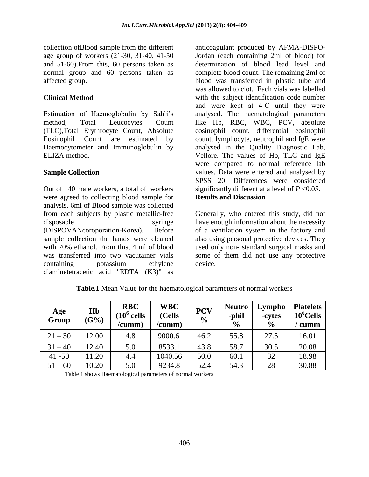collection ofBlood sample from the different age group of workers (21-30, 31-40, 41-50 and 51-60).From this, 60 persons taken as normal group and 60 persons taken as affected group.

#### **Clinical Method**

Estimation of Haemoglobulin by Sahli's method, Total Leucocytes Count (TLC),Total Erythrocyte Count, Absolute Eosinophil Count are estimated by Haemocytometer and Immunoglobulin by ELIZA method.

#### **Sample Collection**

Out of 140 male workers, a total of workers were agreed to collecting blood sample for analysis. 6ml of Blood sample was collected from each subjects by plastic metallic-free disposable syringe (DISPOVANcoroporation-Korea). Before sample collection the hands were cleaned with 70% ethanol. From this, 4 ml of blood was transferred into two vacutainer vials containing potassium ethylene diaminetetracetic acid "EDTA (K3)" as

anticoagulant produced by AFMA-DISPO-Jordan (each containing 2ml of blood) for determination of blood lead level and complete blood count. The remaining 2ml of blood was transferred in plastic tube and was allowed to clot. Each vials was labelled with the subject identification code number and were kept at 4˚C until they were analysed. The haematological parameters like Hb, RBC, WBC, PCV, absolute eosinophil count, differential eosinophil count, lymphocyte, neutrophil and IgE were analysed in the Quality Diagnostic Lab, Vellore. The values of Hb, TLC and IgE were compared to normal reference lab values. Data were entered and analysed by SPSS 20. Differences were considered significantly different at a level of *P* ˂0.05. **Results and Discussion** 

Generally, who entered this study, did not have enough information about the necessity of a ventilation system in the factory and also using personal protective devices. They used only non- standard surgical masks and some of them did not use any protective device.

| Age<br>Group | H <sub>b</sub><br>(G%) | <b>RBC</b><br>$(10^6 \text{ cells}$<br>/cumm) | <b>WBC</b><br>(Cells<br>/cumm) | <b>PCV</b><br>$\frac{0}{0}$ | <b>Neutro</b><br>-phil<br>$\frac{6}{9}$ | Lympho<br>-cytes<br>$\frac{6}{9}$ | <b>Platelets</b><br>$10^6$ Cells<br>cumm |
|--------------|------------------------|-----------------------------------------------|--------------------------------|-----------------------------|-----------------------------------------|-----------------------------------|------------------------------------------|
| $21 - 30$    | 12.00                  | 4.8                                           | 9000.6                         | 46.2                        | 55.8                                    | 27.5                              | 16.01                                    |
| $31 - 40$    | 12.40                  | 5.0                                           | 8533.1                         | 43.8                        | 58.7                                    | 30.5                              | 20.08                                    |
| $41 - 50$    | 11.20                  | 4.4                                           | 1040.56                        | 50.0                        | 60.1                                    | 32                                | 18.98                                    |
| $51 - 60$    | 10.20                  | 5.0                                           | 9234.8                         | 52.4                        | 54.3                                    | 28                                | 30.88                                    |

**Table.1** Mean Value for the haematological parameters of normal workers

Table 1 shows Haematological parameters of normal workers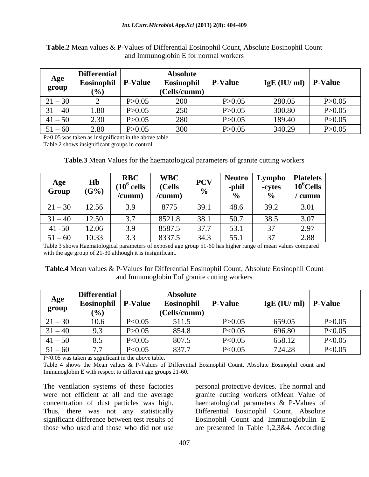| Age<br>group | <b>Differential</b><br>Eosinophil<br>$(\%)$ | <b>P-Value</b> | <b>Absolute</b><br>Eosinophil<br>(Cells/cumm) | <b>P-Value</b> | $IgE$ (IU/ ml) | <b>P-Value</b> |
|--------------|---------------------------------------------|----------------|-----------------------------------------------|----------------|----------------|----------------|
| $21 - 30$    |                                             | P > 0.05       | 200                                           | P > 0.05       | 280.05         | P > 0.05       |
| $31 - 40$    | 1.80                                        | P > 0.05       | 250                                           | P > 0.05       | 300.80         | P > 0.05       |
| $41 - 50$    | 2.30                                        | P > 0.05       | 280                                           | P > 0.05       | 189.40         | P > 0.05       |
| $51 - 60$    | 2.80                                        | P > 0.05       | 300                                           | P > 0.05       | 340.29         | P > 0.05       |

**Table.2** Mean values & P-Values of Differential Eosinophil Count, Absolute Eosinophil Count and Immunoglobin E for normal workers

P>0.05 was taken as insignificant in the above table.

Table 2 shows insignificant groups in control.

**Table.3** Mean Values for the haematological parameters of granite cutting workers

| Age<br>Group | Hb<br>(G%) | <b>RBC</b><br>$(10^6 \text{ cells})$<br>/cumm) | <b>WBC</b><br>(Cells<br>/cumm) | <b>PCV</b><br>$\frac{0}{0}$ | <b>Neutro</b><br>-phil<br>$\frac{0}{0}$ | Lympho<br>-cytes<br>$\frac{6}{6}$ | <b>Platelets</b><br>$10^6$ Cells<br>cumm |
|--------------|------------|------------------------------------------------|--------------------------------|-----------------------------|-----------------------------------------|-----------------------------------|------------------------------------------|
| $21 - 30$    | 12.56      | 3.9                                            | 8775                           | 39.1                        | 48.6                                    | 39.2                              | 3.01                                     |
| $31 - 40$    | 12.50      | 3.7                                            | 8521.8                         | 38.1                        | 50.7                                    | 38.5                              | 3.07                                     |
| $41 - 50$    | 12.06      | 3.9                                            | 8587.5                         | 37.7                        | 53.1                                    | 37                                | 2.97                                     |
| $51 - 60$    | 10.33      | 3.3                                            | 8337.5                         | 34.3                        | 55.1                                    | 37                                | 2.88                                     |

Table 3 shows Haematological parameters of exposed age group 51-60 has higher range of mean values compared with the age group of 21-30 although it is insignificant.

**Table.4** Mean values & P-Values for Differential Eosinophil Count, Absolute Eosinophil Count and Immunoglobin Eof granite cutting workers

| Age<br>group | <b>Differential</b><br>Eosinophil<br>$(\%)$ | <b>P-Value</b> | <b>Absolute</b><br><b>Eosinophil</b><br>(Cells/cumm) | <b>P-Value</b> | $IgE$ (IU/ ml) | <b>P-Value</b> |
|--------------|---------------------------------------------|----------------|------------------------------------------------------|----------------|----------------|----------------|
| $21 - 30$    | 10.6                                        | P<0.05         | 511.5                                                | P > 0.05       | 659.05         | P > 0.05       |
| $31 - 40$    | 9.3                                         | P > 0.05       | 854.8                                                | P<0.05         | 696.80         | P<0.05         |
| $41 - 50$    | 8.5                                         | P<0.05         | 807.5                                                | P<0.05         | 658.12         | P<0.05         |
| $51 - 60$    | 7.7                                         | P<0.05         | 837.7                                                | P<0.05         | 724.28         | P<0.05         |

P<0.05 was taken as significant in the above table.

Table 4 shows the Mean values & P-Values of Differential Eosinophil Count, Absolute Eosinophil count and Immunoglobin E with respect to different age groups 21-60.

The ventilation systems of these factories were not efficient at all and the average concentration of dust particles was high. Thus, there was not any statistically significant difference between test results of those who used and those who did not use personal protective devices. The normal and granite cutting workers ofMean Value of haematological parameters & P-Values of Differential Eosinophil Count, Absolute Eosinophil Count and Immunoglobulin E are presented in Table 1,2,3&4. According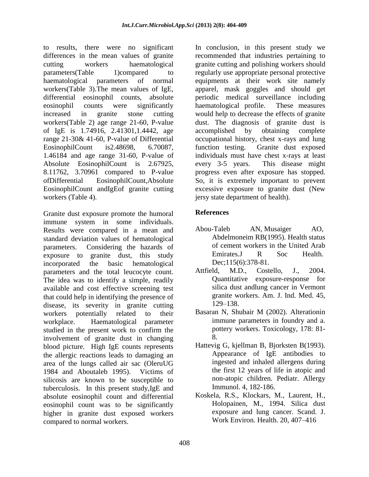to results, there were no significant differences in the mean values of granite cutting workers haematological parameters(Table 1)compared to haematological parameters of normal workers(Table 3).The mean values of IgE, differential eosinophil counts, absolute eosinophil counts were significantly increased in granite stone cutting workers(Table 2) age range 21-60, P-value of IgE is 1.74916, 2.41301,1.4442, age range 21-30& 41-60, P-value of Differential EosinophilCount is2.48698, 6.70087, 1.46184 and age range 31-60, P-value of Absolute EosinophilCount is 2.67925, 8.11762, 3.70961 compared to P-value ofDifferential EosinophilCount,Absolute EosinophilCount andIgEof granite cutting workers (Table 4).

Granite dust exposure promote the humoral immune system in some individuals. Results were compared in a mean and standard deviation values of hematological parameters. Considering the hazards of exposure to granite dust, this study incorporated the basic hematological parameters and the total leucocyte count. The idea was to identify a simple, readily available and cost effective screening test that could help in identifying the presence of disease, its severity in granite cutting workers potentially related to their workplace. Haematological parameter studied in the present work to confirm the involvement of granite dust in changing blood picture. High IgE counts represents the allergic reactions leads to damaging an area of the lungs called air sac (OleruUG 1984 and Aboutaleb 1995). Victims of silicosis are known to be susceptible to tuberculosis. In this present study,IgE and absolute eosinophil count and differential eosinophil count was to be significantly higher in granite dust exposed workers compared to normal workers.

In conclusion, in this present study we recommended that industries pertaining to granite cutting and polishing workers should regularly use appropriate personal protective equipments at their work site namely apparel, mask goggles and should get periodic medical surveillance including haematological profile. These measures would help to decrease the effects of granite dust. The diagnosis of granite dust is accomplished by obtaining complete occupational history, chest x-rays and lung function testing. Granite dust exposed individuals must have chest x-rays at least every 3-5 years. This disease might progress even after exposure has stopped. So, it is extremely important to prevent excessive exposure to granite dust (New jersy state department of health).

## **References**

- [Abou-Taleb AN,](http://www.ncbi.nlm.nih.gov/pubmed/?term=Abou-Taleb%20AN%5BAuthor%5D&cauthor=true&cauthor_uid=8568787) [Musaiger AO,](http://www.ncbi.nlm.nih.gov/pubmed/?term=Musaiger%20AO%5BAuthor%5D&cauthor=true&cauthor_uid=8568787) [Abdelmoneim RB\(](http://www.ncbi.nlm.nih.gov/pubmed/?term=Abdelmoneim%20RB%5BAuthor%5D&cauthor=true&cauthor_uid=8568787)1995). Health status of cement workers in the United Arab Emirates[.J R Soc Health.](http://www.ncbi.nlm.nih.gov/pubmed/8568787) Dec:115(6):378-81.
- Attfield, M.D., Costello, J., 2004. Quantitative exposure-response for silica dust andlung cancer in Vermont granite workers. Am. J. Ind. Med. 45, 129–138.
- Basaran N, Shubair M (2002). Alterationin immune parameters in foundry and a. pottery workers. Toxicology, 178: 81- 8.
- Hattevig G, kjellman B, Bjorksten B(1993). Appearance of IgE antibodies to ingested and inhaled allergens during the first 12 years of life in atopic and non-atopic children. Pediatr. Allergy Immunol. 4, 182-186.
- Koskela, R.S., Klockars, M., Laurent, H., Holopainen, M., 1994. Silica dust exposure and lung cancer. Scand. J. Work Environ. Health. 20, 407–416